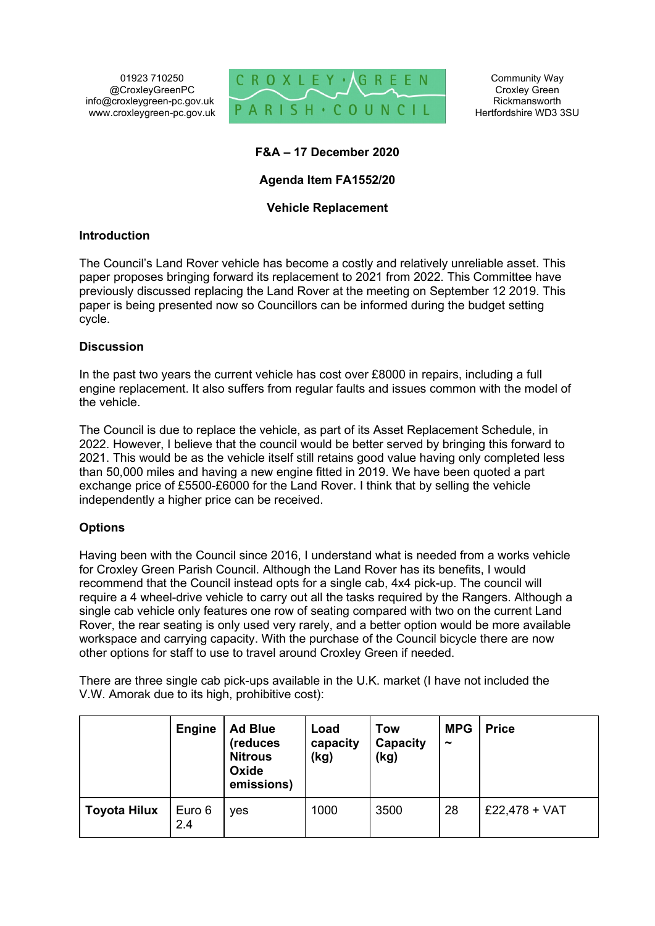01923 710250 @CroxleyGreenPC info@croxleygreen-pc.gov.uk www.croxleygreen-pc.gov.uk



Community Way Croxley Green Rickmansworth Hertfordshire WD3 3SU

# **F&A – 17 December 2020**

## **Agenda Item FA1552/20**

## **Vehicle Replacement**

#### **Introduction**

The Council's Land Rover vehicle has become a costly and relatively unreliable asset. This paper proposes bringing forward its replacement to 2021 from 2022. This Committee have previously discussed replacing the Land Rover at the meeting on September 12 2019. This paper is being presented now so Councillors can be informed during the budget setting cycle.

#### **Discussion**

In the past two years the current vehicle has cost over £8000 in repairs, including a full engine replacement. It also suffers from regular faults and issues common with the model of the vehicle.

The Council is due to replace the vehicle, as part of its Asset Replacement Schedule, in 2022. However, I believe that the council would be better served by bringing this forward to 2021. This would be as the vehicle itself still retains good value having only completed less than 50,000 miles and having a new engine fitted in 2019. We have been quoted a part exchange price of £5500-£6000 for the Land Rover. I think that by selling the vehicle independently a higher price can be received.

## **Options**

Having been with the Council since 2016, I understand what is needed from a works vehicle for Croxley Green Parish Council. Although the Land Rover has its benefits, I would recommend that the Council instead opts for a single cab, 4x4 pick-up. The council will require a 4 wheel-drive vehicle to carry out all the tasks required by the Rangers. Although a single cab vehicle only features one row of seating compared with two on the current Land Rover, the rear seating is only used very rarely, and a better option would be more available workspace and carrying capacity. With the purchase of the Council bicycle there are now other options for staff to use to travel around Croxley Green if needed.

There are three single cab pick-ups available in the U.K. market (I have not included the V.W. Amorak due to its high, prohibitive cost):

|                     | <b>Engine</b> | <b>Ad Blue</b><br>(reduces<br><b>Nitrous</b><br>Oxide<br>emissions) | Load<br>capacity<br>(kg) | <b>Tow</b><br><b>Capacity</b><br>(kg) | <b>MPG</b><br>$\tilde{\phantom{a}}$ | <b>Price</b>  |
|---------------------|---------------|---------------------------------------------------------------------|--------------------------|---------------------------------------|-------------------------------------|---------------|
| <b>Toyota Hilux</b> | Euro 6<br>2.4 | <b>ves</b>                                                          | 1000                     | 3500                                  | 28                                  | £22,478 + VAT |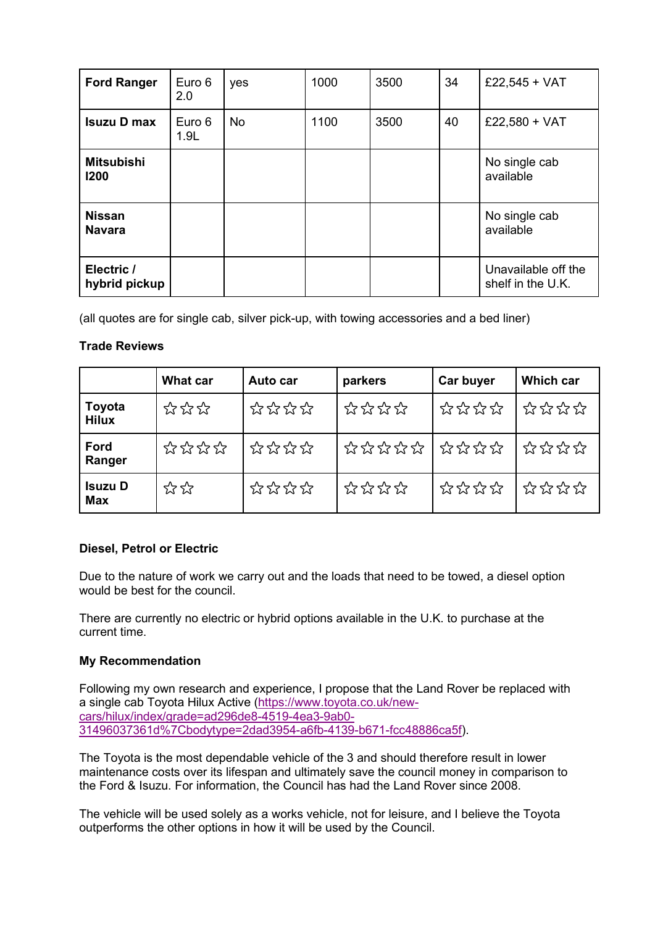| <b>Ford Ranger</b>             | Euro 6<br>2.0  | yes       | 1000 | 3500 | 34 | £22,545 + VAT                            |
|--------------------------------|----------------|-----------|------|------|----|------------------------------------------|
| <b>Isuzu D max</b>             | Euro 6<br>1.9L | <b>No</b> | 1100 | 3500 | 40 | £22,580 + VAT                            |
| <b>Mitsubishi</b><br>1200      |                |           |      |      |    | No single cab<br>available               |
| <b>Nissan</b><br><b>Navara</b> |                |           |      |      |    | No single cab<br>available               |
| Electric /<br>hybrid pickup    |                |           |      |      |    | Unavailable off the<br>shelf in the U.K. |

(all quotes are for single cab, silver pick-up, with towing accessories and a bed liner)

## **Trade Reviews**

|                              | <b>What car</b>                                     | Auto car       | parkers     | Car buyer | <b>Which car</b> |
|------------------------------|-----------------------------------------------------|----------------|-------------|-----------|------------------|
| Toyota<br><b>Hilux</b>       | <i>☆☆☆</i>                                          | ****           | ****        | ****      | ****             |
| Ford<br>Ranger               | ****                                                | ****           |             | ****      | なななな             |
| <b>Isuzu D</b><br><b>Max</b> | $\stackrel{\frown}{\sim}$ $\stackrel{\frown}{\sim}$ | <i>참 참 참 참</i> | <u>なななな</u> | ****      | ****             |

# **Diesel, Petrol or Electric**

Due to the nature of work we carry out and the loads that need to be towed, a diesel option would be best for the council.

There are currently no electric or hybrid options available in the U.K. to purchase at the current time.

## **My Recommendation**

Following my own research and experience, I propose that the Land Rover be replaced with a single cab Toyota Hilux Active (https://www.toyota.co.uk/newcars/hilux/index/grade=ad296de8-4519-4ea3-9ab0- 31496037361d%7Cbodytype=2dad3954-a6fb-4139-b671-fcc48886ca5f).

The Toyota is the most dependable vehicle of the 3 and should therefore result in lower maintenance costs over its lifespan and ultimately save the council money in comparison to the Ford & Isuzu. For information, the Council has had the Land Rover since 2008.

The vehicle will be used solely as a works vehicle, not for leisure, and I believe the Toyota outperforms the other options in how it will be used by the Council.